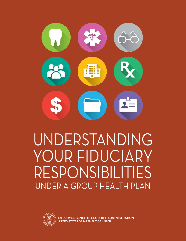

# UNDERSTANDING YOUR FIDUCIARY RESPONSIBILITIES UNDER A GROUP HEALTH PLAN



**EMPLOYEE BENEFITS SECURITY ADMINISTRATION** UNITED STATES DEPARTMENT OF LABOR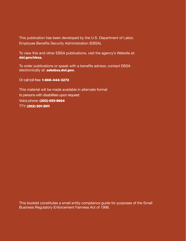This publication has been developed by the U.S. Department of Labor, Employee Benefits Security Administration (EBSA).

To view this and other EBSA publications, visit the agency's Website at: dol.gov/ebsa.

To order publications or speak with a benefits advisor, contact EBSA electronically at: askebsa.dol.gov.

Or call toll free: 1-866-444-3272

This material will be made available in alternate format to persons with disabilities upon request: Voice phone: (202) 693-8664 TTY: (202) 501-3911

This booklet constitutes a small entity compliance guide for purposes of the Small Business Regulatory Enforcement Fairness Act of 1996.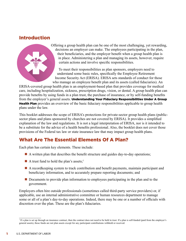# Introduction



Offering a group health plan can be one of the most challenging, yet rewarding, decisions an employer can make. The employees participating in the plan, their beneficiaries, and the employer benefit when a group health plan is in place. Administering a plan and managing its assets, however, require certain actions and involve specific responsibilities.

To meet their responsibilities as plan sponsors, employers need to understand some basic rules, specifically the Employee Retirement Income Security Act (ERISA). ERISA sets standards of conduct for those who manage an employee benefit plan and its assets (called fiduciaries). An

ERISA-covered group health plan is an employment-based plan that provides coverage for medical care, including hospitalization, sickness, prescription drugs, vision, or dental. A group health plan can provide benefits by using funds in a plan trust, the purchase of insurance, or by self-funding benefits from the employer's general assets. Understanding Your Fiduciary Responsibilities Under A Group **Health Plan** provides an overview of the basic fiduciary responsibilities applicable to group health plans under the law.

This booklet addresses the scope of ERISA's protections for private-sector group health plans (publicsector plans and plans sponsored by churches are not covered by ERISA). It provides a simplified explanation of the law and regulations. It is not a legal interpretation of ERISA, nor is it intended to be a substitute for the advice of a health benefits professional. Also, the booklet does not cover those provisions of the Federal tax law or state insurance law that may impact group health plans.

# What Are The Essential Elements Of A Plan?

Each plan has certain key elements. These include:

- $\blacksquare$  A written plan that describes the benefit structure and guides day-to-day operations;
- A trust fund to hold the plan's assets;<sup>1</sup>
- n A recordkeeping system to track contribution and benefit payments, maintain participant and beneficiary information, and to accurately prepare reporting documents; and
- **n** Documents to provide plan information to employees participating in the plan and to the government.

Employers often hire outside professionals (sometimes called third-party service providers) or, if applicable, use an internal administrative committee or human resources department to manage some or all of a plan's day-to-day operations. Indeed, there may be one or a number of officials with discretion over the plan. These are the plan's fiduciaries.

<sup>&</sup>lt;sup>1</sup> If a plan is set up through an insurance contract, then the contract does not need to be held in trust. If a plan is self-funded (paid from the employer's general assets), those funds are not plan assets except for any participant contributions withheld or received.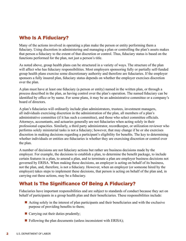# Who Is A Fiduciary?

Many of the actions involved in operating a plan make the person or entity performing them a fiduciary. Using discretion in administering and managing a plan or controlling the plan's assets makes that person a fiduciary to the extent of that discretion or control. Thus, fiduciary status is based on the functions performed for the plan, not just a person's title.

As noted above, group health plans can be structured in a variety of ways. The structure of the plan will affect who has fiduciary responsibilities. Most employers sponsoring fully or partially self-funded group health plans exercise some discretionary authority and therefore are fiduciaries. If the employer sponsors a fully insured plan, fiduciary status depends on whether the employer exercises discretion over the plan.

A plan must have at least one fiduciary (a person or entity) named in the written plan, or through a process described in the plan, as having control over the plan's operation. The named fiduciary can be identified by office or by name. For some plans, it may be an administrative committee or a company's board of directors.

A plan's fiduciaries will ordinarily include plan administrators, trustees, investment managers, all individuals exercising discretion in the administration of the plan, all members of a plan's administrative committee (if it has such a committee), and those who select committee officials. Attorneys, accountants, and actuaries generally are not fiduciaries when acting solely in their professional capacities. Similarly, a third party administrator, recordkeeper, or utilization reviewer who performs solely ministerial tasks is not a fiduciary; however, that may change if he or she exercises discretion in making decisions regarding a participant's eligibility for benefits. The key to determining whether individuals or entities are fiduciaries is whether they are exercising discretion or control over the plan.

A number of decisions are not fiduciary actions but rather are business decisions made by the employer. For example, the decisions to establish a plan, to determine the benefit package, to include certain features in a plan, to amend a plan, and to terminate a plan are employer business decisions not governed by ERISA. When making these decisions, an employer is acting on behalf of its business, not the plan, and, therefore, is not a fiduciary. However, when an employer (or someone hired by the employer) takes steps to implement these decisions, that person is acting on behalf of the plan and, in carrying out these actions, may be a fiduciary.

# What Is The Significance Of Being A Fiduciary?

Fiduciaries have important responsibilities and are subject to standards of conduct because they act on behalf of participants in a group health plan and their beneficiaries. These responsibilities include:

- $\blacksquare$  Acting solely in the interest of plan participants and their beneficiaries and with the exclusive purpose of providing benefits to them;
- $\blacksquare$  Carrying out their duties prudently;
- $\blacksquare$  Following the plan documents (unless inconsistent with ERISA);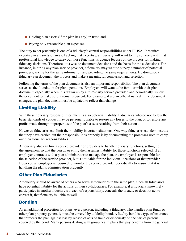- $\blacksquare$  Holding plan assets (if the plan has any) in trust; and
- $\blacksquare$  Paying only reasonable plan expenses.

The duty to act prudently is one of a fiduciary's central responsibilities under ERISA. It requires expertise in a variety of areas. Lacking that expertise, a fiduciary will want to hire someone with that professional knowledge to carry out those functions. Prudence focuses on the process for making fiduciary decisions. Therefore, it is wise to document decisions and the basis for those decisions. For instance, in hiring any plan service provider, a fiduciary may want to survey a number of potential providers, asking for the same information and providing the same requirements. By doing so, a fiduciary can document the process and make a meaningful comparison and selection.

Following the terms of the plan document is also an important responsibility. The plan document serves as the foundation for plan operations. Employers will want to be familiar with their plan document, especially when it is drawn up by a third-party service provider, and periodically review the document to make sure it remains current. For example, if a plan official named in the document changes, the plan document must be updated to reflect that change.

#### Limiting Liability

With these fiduciary responsibilities, there is also potential liability. Fiduciaries who do not follow the basic standards of conduct may be personally liable to restore any losses to the plan, or to restore any profits made through improper use of the plan's assets resulting from their actions.

However, fiduciaries can limit their liability in certain situations. One way fiduciaries can demonstrate that they have carried out their responsibilities properly is by documenting the processes used to carry out their fiduciary responsibilities.

A fiduciary also can hire a service provider or providers to handle fiduciary functions, setting up the agreement so that the person or entity then assumes liability for those functions selected. If an employer contracts with a plan administrator to manage the plan, the employer is responsible for the selection of the service provider, but is not liable for the individual decisions of that provider. However, an employer is required to monitor the service provider periodically to assure that it is handling the plan's administration prudently.

#### Other Plan Fiduciaries

A fiduciary should be aware of others who serve as fiduciaries to the same plan, since all fiduciaries have potential liability for the actions of their co-fiduciaries. For example, if a fiduciary knowingly participates in another fiduciary's breach of responsibility, conceals the breach, or does not act to correct it, that fiduciary is liable as well.

#### Bonding

As an additional protection for plans, every person, including a fiduciary, who handles plan funds or other plan property generally must be covered by a fidelity bond. A fidelity bond is a type of insurance that protects the plan against loss by reason of acts of fraud or dishonesty on the part of persons covered by the bond. Many persons dealing with group health plans that pay benefits from the general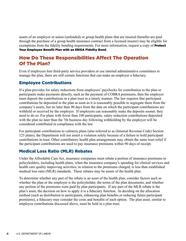assets of an employer or union (unfunded) or group health plans that are insured (benefits are paid through the purchase of a group health insurance contract from a licensed insurer) may be eligible for exemptions from the fidelity bonding requirements. For more information, request a copy of **Protect** [Your Employee Benefit Plan with an ERISA Fidelity Bond](http://www.dol.gov/ebsa/publications/erisafidelitybondplanprotection.html).

# How Do These Responsibilities Affect The Operation Of The Plan?

Even if employers hire third-party service providers or use internal administrative committees to manage the plan, there are still certain functions that can make an employer a fiduciary.

## Employee Contributions

If a plan provides for salary reductions from employees' paychecks for contribution to the plan or participants make payments directly, such as the payment of COBRA premiums, then the employer must deposit the contributions in a plan trust in a timely manner. The law requires that participant contributions be deposited in the plan as soon as it is reasonably possible to segregate them from the company's assets, but no later than 90 days from the date on which the participant contributions are withheld or received by the employer. If employers can reasonably make the deposits sooner, they need to do so. For plans with fewer than 100 participants, salary reduction contributions deposited with the plan no later than the 7th business day following withholding by the employer will be considered contributed in compliance with the law.

For participant contributions to cafeteria plans (also referred to as (Internal Revenue Code) Section 125 plans), the Department will not assert a violation solely because of a failure to hold participant contributions in trust. Other contributory health plan arrangements may obtain the same trust relief if the participant contributions are used to pay insurance premiums within 90 days of receipt.

## Medical Loss Ratio (MLR) Rebates

Under the Affordable Care Act, insurance companies must rebate a portion of insurance premiums to policyholders, including health plans, when the insurance company's spending for clinical services and health care quality improving activities, in relation to the premiums charged, is less than established medical loss ratio (MLR) standards. These rebates may be assets of the health plan.

To determine whether any part of the rebate is an asset of the health plan, consider factors such as whether the plan or the employer is the policyholder, the terms of the plan documents, and whether any portion of the premiums were paid by plan participants. If any part of the MLR rebate is the plan's asset, the decision on how to apply it is a fiduciary function. In deciding on the allocation method (such as distribution to participants, enhancing plan benefits or reducing future participant premiums), a fiduciary may consider the costs and benefits of each option. The plan asset, similar to employee contributions discussed above, must be held in a plan trust.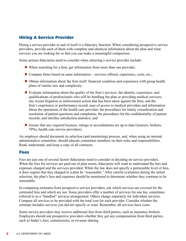#### Hiring A Service Provider

Hiring a service provider in and of itself is a fiduciary function. When considering prospective service providers, provide each of them with complete and identical information about the plan and what services you are looking for so that you can make a meaningful comparison.

Some actions fiduciaries need to consider when selecting a service provider include:

- $\blacksquare$  When searching for a firm, get information from more than one provider;
- Compare firms based on same information services offered, experience, costs, etc.;
- Obtain information about the firm itself: financial condition and experience with group health plans of similar size and complexity;
- $\blacksquare$  Evaluate information about the quality of the firm's services: the identity, experience, and qualifications of professionals who will be handling the plan or providing medical services; any recent litigation or enforcement action that has been taken against the firm; and the firm's experience or performance record; ease of access to medical providers and information about the operations of the health care provider; the procedures for timely consideration and resolution of patient questions and complaints; the procedures for the confidentiality of patient records; and enrollee satisfaction statistics; and
- Ensure that any required licenses, ratings or accreditations are up to date (insurers, brokers, TPAs, health care service providers).

An employer should document its selection (and monitoring) process, and, when using an internal administrative committee, should educate committee members on their roles and responsibilities. Read, understand, and keep a copy of all contracts.

#### Fees

Fees are just one of several factors fiduciaries need to consider in deciding on service providers. When the fees for services are paid out of plan assets, fiduciaries will want to understand the fees and expenses charged and the services provided. While the law does not specify a permissible level of fees, it does require that fees charged to a plan be "reasonable." After careful evaluation during the initial selection, the plan's fees and expenses should be monitored to determine whether they continue to be reasonable.

In comparing estimates from prospective service providers, ask which services are covered for the estimated fees and which are not. Some providers offer a number of services for one fee, sometimes referred to as a "bundled" services arrangement. Others charge separately for individual services. Compare all services to be provided with the total cost for each provider. Consider whether the estimate includes services you did not specify or want. Remember, all services have costs.

Some service providers may receive additional fees from third parties, such as insurance brokers. Employers should ask prospective providers whether they get any compensation from third parties, such as finder's fees, commissions, or revenue sharing.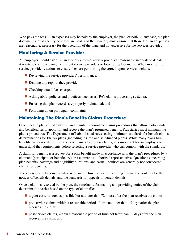Who pays the fees? Plan expenses may be paid by the employer, the plan, or both. In any case, the plan document should specify how fees are paid, and the fiduciary must ensure that those fees and expenses are reasonable, necessary for the operation of the plan, and not excessive for the services provided.

## Monitoring A Service Provider

An employer should establish and follow a formal review process at reasonable intervals to decide if it wants to continue using the current service providers or look for replacements. When monitoring service providers, actions to ensure they are performing the agreed-upon services include:

- $\blacksquare$  Reviewing the service providers' performance;
- $\blacksquare$  Reading any reports they provide;
- $\blacksquare$  Checking actual fees charged;
- Asking about policies and practices (such as a TPA's claims processing systems);
- $\blacksquare$  Ensuring that plan records are properly maintained; and
- $\blacksquare$  Following up on participant complaints.

#### Maintaining The Plan's Benefits Claims Procedure

Group health plans must establish and maintain reasonable claims procedures that allow participants and beneficiaries to apply for and receive the plan's promised benefits. Fiduciaries must maintain the plan's procedures. The Department of Labor issued rules setting minimum standards for benefit claims determinations for ERISA plans (including insured and self-funded plans). While many plans hire benefits professionals or insurance companies to process claims, it is important for an employer to understand the requirements before selecting a service provider who can comply with the standards.

A claim for benefits is a request for a plan benefit made in accordance with the plan's procedures by a claimant (participant or beneficiary) or a claimant's authorized representative. Questions concerning plan benefits, coverage and eligibility questions, and casual inquiries are generally not considered claims for benefits.

The key issues to become familiar with are the timeframes for deciding claims, the contents for the notices of benefit denials, and the standards for appeals of benefit denials.

Once a claim is received by the plan, the timeframe for making and providing notice of the claim determination varies based on the type of claim filed -

- $\blacksquare$  urgent care, as soon as possible but not later than 72 hours after the plan receives the claim;
- $\blacksquare$  pre-service claims, within a reasonable period of time not later than 15 days after the plan receives the claim;
- $\Box$  post-service claims, within a reasonable period of time not later than 30 days after the plan receives the claim; and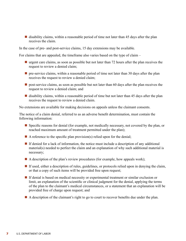$\blacksquare$  disability claims, within a reasonable period of time not later than 45 days after the plan receives the claim.

In the case of pre- and post-service claims, 15 day extensions may be available.

For claims that are appealed, the timeframe also varies based on the type of claim –

- $\blacksquare$  urgent care claims, as soon as possible but not later than 72 hours after the plan receives the request to review a denied claim;
- $\blacksquare$  pre-service claims, within a reasonable period of time not later than 30 days after the plan receives the request to review a denied claim;
- $\Box$  post-service claims, as soon as possible but not later than 60 days after the plan receives the request to review a denied claim; and
- disability claims, within a reasonable period of time but not later than 45 days after the plan receives the request to review a denied claim.

No extensions are available for making decisions on appeals unless the claimant consents.

The notice of a claim denial, referred to as an adverse benefit determination, must contain the following information:

- $\blacksquare$  Specific reasons for denial (for example, not medically necessary, not covered by the plan, or reached maximum amount of treatment permitted under the plan);
- A reference to the specific plan provision(s) relied upon for the denial;
- $\blacksquare$  If denied for a lack of information, the notice must include a description of any additional material(s) needed to perfect the claim and an explanation of why such additional material is necessary;
- $\blacksquare$  A description of the plan's review procedures (for example, how appeals work);
- $\blacksquare$  If used, either a description of rules, guidelines, or protocols relied upon in denying the claim, or that a copy of such items will be provided free upon request;
- $\blacksquare$  If denial is based on medical necessity or experimental treatment or similar exclusion or limit, an explanation of the scientific or clinical judgment for the denial, applying the terms of the plan to the claimant's medical circumstances, or a statement that an explanation will be provided free of charge upon request; and
- $\blacksquare$  A description of the claimant's right to go to court to recover benefits due under the plan.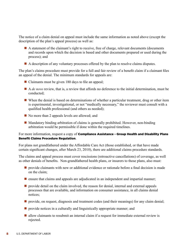The notice of a claim denial on appeal must include the same information as noted above (except the description of the plan's appeal process) as well as:

- A statement of the claimant's right to receive, free of charge, relevant documents (documents and records upon which the decision is based and other documents prepared or used during the process); and
- $\blacksquare$  A description of any voluntary processes offered by the plan to resolve claims disputes.

The plan's claims procedure must provide for a full and fair review of a benefit claim if a claimant files an appeal of the denial. The minimum standards for appeals are:

- $\blacksquare$  Claimants must be given 180 days to file an appeal;
- A *de novo* review, that is, a review that affords no deference to the initial determination, must be conducted;
- $\blacksquare$  When the denial is based on determinations of whether a particular treatment, drug or other item is experimental, investigational, or not "medically necessary," the reviewer must consult with a qualified health professional (and others as needed);
- No more than 2 appeals levels are allowed; and
- $\blacksquare$  Mandatory binding arbitration of claims is generally prohibited. However, non-binding arbitration would be permissible if done within the required timelines.

#### For more information, request a copy of Compliance Assistance - Group Health and Disability Plans [Benefit Claims Procedure Regulation](http://www.dol.gov/ebsa/pdf/CAGHDP.pdf).

For plans not grandfathered under the Affordable Care Act (those established, or that have made certain significant changes, after March 23, 2010), there are additional claims procedure standards.

The claims and appeal process must cover rescissions (retroactive cancellations) of coverage, as well as other denials of benefits. Non-grandfathered health plans, or insurers to those plans, also must:

- $\blacksquare$  provide claimants with new or additional evidence or rationale before a final decision is made on the claim;
- $\blacksquare$  ensure that claims and appeals are adjudicated in an independent and impartial manner;
- n provide detail on the claim involved, the reason for denial, internal and external appeals processes that are available, and information on consumer assistance, in all claims denial notices;
- n provide, on request, diagnosis and treatment codes (and their meanings) for any claim denial;
- $\blacksquare$  provide notices in a culturally and linguistically appropriate manner; and
- $\blacksquare$  allow claimants to resubmit an internal claim if a request for immediate external review is rejected.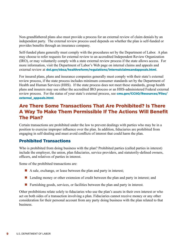Non-grandfathered plans also must provide a process for an external review of claim denials by an independent party. The external review process used depends on whether the plan is self-funded or provides benefits through an insurance company.

Self-funded plans generally must comply with the procedures set by the Department of Labor. A plan may choose to refer requests for external review to an accredited Independent Review Organization (IRO), or may voluntarily comply with a state external review process if the state allows access. For more information, visit the Department of Labor's Web page on internal claims and appeals and external review at [dol.gov/ebsa/healthreform/regulations/internalclaimsandappeals.html](http://dol.gov/ebsa/healthreform/regulations/internalclaimsandappeals.html).

For insured plans, plans and insurance companies generally must comply with their state's external review process, if the state process includes minimum consumer standards set by the Department of Health and Human Services (HHS). If the state process does not meet these standards, group health plans and insurers may use either the accredited IRO process or an HHS-administered Federal external review process. For the status of your state's external process, see **[cms.gov/CCIIO/Resources/Files/](http://cms.gov/CCIIO/Resources/Files/external_appeals.html)** [external\\_appeals.html](http://cms.gov/CCIIO/Resources/Files/external_appeals.html).

# Are There Some Transactions That Are Prohibited? Is There A Way To Make Them Permissible If The Actions Will Benefit The Plan?

Certain transactions are prohibited under the law to prevent dealings with parties who may be in a position to exercise improper influence over the plan. In addition, fiduciaries are prohibited from engaging in self-dealing and must avoid conflicts of interest that could harm the plan.

## Prohibited Transactions

Who is prohibited from doing business with the plan? Prohibited parties (called parties in interest) include the employer, the union, plan fiduciaries, service providers, and statutorily-defined owners, officers, and relatives of parties in interest.

Some of the prohibited transactions are:

- $\blacksquare$  A sale, exchange, or lease between the plan and party in interest;
- Lending money or other extension of credit between the plan and party in interest; and
- n Furnishing goods, services, or facilities between the plan and party in interest.

Other prohibitions relate solely to fiduciaries who use the plan's assets in their own interest or who act on both sides of a transaction involving a plan. Fiduciaries cannot receive money or any other consideration for their personal account from any party doing business with the plan related to that business.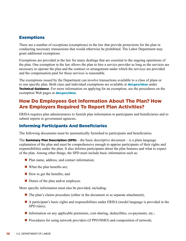#### Exemptions

There are a number of exceptions (exemptions) in the law that provide protections for the plan in conducting necessary transactions that would otherwise be prohibited. The Labor Department may grant additional exemptions.

Exemptions are provided in the law for many dealings that are essential to the ongoing operations of the plan. One exemption in the law allows the plan to hire a service provider as long as the services are necessary to operate the plan and the contract or arrangement under which the services are provided and the compensation paid for those services is reasonable.

The exemptions issued by the Department can involve transactions available to a class of plans or to one specific plan. Both class and individual exemptions are available at **[dol.gov/ebsa](http://dol.gov/ebsa)** under **Technical Guidance**. For more information on applying for an exemption, see the procedures on the exemption Web pages at **[dol.gov/ebsa](http://dol.gov/ebsa)**.

# How Do Employees Get Information About The Plan? How Are Employers Required To Report Plan Activities?

ERISA requires plan administrators to furnish plan information to participants and beneficiaries and to submit reports to government agencies.

#### Informing Participants And Beneficiaries

The following documents must be automatically furnished to participants and beneficiaries.

The **Summary Plan Description (SPD)** – the basic descriptive document – is a plain language explanation of the plan and must be comprehensive enough to apprise participants of their rights and responsibilities under the plan. It also informs participants about the plan features and what to expect of the plan. Among other things, the SPD must include basic information such as:

- $\blacksquare$  Plan name, address, and contact information;
- $\blacksquare$  What the plan benefits are;
- $\blacksquare$  How to get the benefits; and
- $\blacksquare$  Duties of the plan and/or employee.

More specific information must also be provided, including:

- $\blacksquare$  The plan's claims procedure (either in the document or as separate attachment);
- A participant's basic rights and responsibilities under ERISA (model language is provided in the SPD rules);
- Information on any applicable premiums, cost-sharing, deductibles, co-payments, etc.;
- $\blacksquare$  Procedures for using network providers (if PPO/HMO) and composition of network;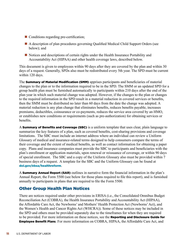- $\blacksquare$  Conditions regarding pre-certification;
- A description of plan procedures governing Qualified Medical Child Support Orders (see below); and
- Notices and descriptions of certain rights under the Health Insurance Portability and Accountability Act (HIPAA) and other health coverage laws, described below.

This document is given to employees within 90 days after they are covered by the plan and within 30 days of a request. Generally, SPDs also must be redistributed every 5th year. The SPD must be current within 120 days.

The **Summary of Material Modification (SMM)** apprises participants and beneficiaries of material changes to the plan or to the information required to be in the SPD. The SMM or an updated SPD for a group health plan must be furnished automatically to participants within 210 days after the end of the plan year in which such material change was adopted. However, if the changes to the plan or changes to the required information in the SPD result in a material reduction in covered services or benefits, then the SMM must be distributed no later than 60 days from the date the change was adopted. A material reduction is any plan change that eliminates benefits, reduces benefits payable, increases premiums, deductibles, coinsurance or co-payments, reduces the service area covered by an HMO, or establishes new conditions or requirements (such as pre-authorization) for obtaining services or benefits.

A **Summary of Benefits and Coverage (SBC)** is a uniform template that uses clear, plain language to summarize the key features of a plan, such as covered benefits, cost-sharing provisions and coverage limitations. The SBC must include an internet address where an individual can review a Uniform Glossary of medical and insurance-related terms designed to help consumers compare the terms of their coverage and the extent of medical benefits, as well as contact information for obtaining a paper copy. Plans and insurance companies must provide the SBC to participants and beneficiaries with the plan's enrollment or application materials, upon renewal or reissuance of coverage, or within 90 days of special enrollment. The SBC and a copy of the Uniform Glossary also must be provided within 7 business days of a request. A template for the SBC and the Uniform Glossary can be found at [dol.gov/ebsa/healthreform](http://dol.gov/ebsa/healthreform).

A **Summary Annual Report (SAR)** outlines in narrative form the financial information in the plan's Annual Report, the Form 5500 (see below for those plans required to file this report), and is furnished annually to participants in plans that are required to file the Form 5500.

#### Other Group Health Plan Notices

There are notices required under other provisions in ERISA (i.e., the Consolidated Omnibus Budget Reconciliation Act (COBRA), the Health Insurance Portability and Accountability Act (HIPAA), the Affordable Care Act, the Newborns' and Mothers' Health Protection Act (Newborns' Act), and the Women's Health and Cancer Rights Act (WHCRA)). Some of these notices may be included in the SPD and others must be provided separately due to the timeframes for when they are required to be provided. For more information on these notices, see the **Reporting and Disclosure Guide for** [Employee Benefit Plans](http://www.dol.gov/ebsa/pdf/rdguide.pdf). For more information on COBRA, HIPAA, the Affordable Care Act, and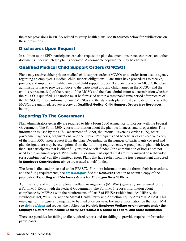the other provisions in ERISA related to group health plans, see **[Resources](http://www.dol.gov/ebsa/publications/ghpfiduciaryresponsibilities.html#9)** below for publications on these provisions.

## Disclosures Upon Request

In addition to the SPD, participants can also request the plan document, insurance contracts, and other documents under which the plan is operated. A reasonable copying fee may be charged.

## Qualified Medical Child Support Orders (QMCSO)

Plans may receive either private medical child support orders (MCSO) or an order from a state agency regarding an employee's medical child support obligations. Plans must have procedures to receive, process, and implement qualified medical child support orders. If a plan receives an MCSO, the plan administrator has to provide a notice to the participant and any child named in the MCSO (and the child's representative) of the receipt of the MCSO and the plan administrator's determination whether the MCSO is qualified. The notice must be furnished within a reasonable time period after receipt of the MCSO. For more information on QMCSOs and the standards plans must use to determine whether MCSOs are qualified, request a copy of **[Qualified Medical Child Support Orders](http://www.dol.gov/ebsa/publications/qmcso.html)** (see [Resources](http://www.dol.gov/ebsa/publications/ghpfiduciaryresponsibilities.html#9) below).

## Reporting To The Government

Plan administrators generally are required to file a Form 5500 Annual Return/Report with the Federal Government. The Form 5500 reports information about the plan, its finances, and its operation. This information is used by the U.S. Department of Labor, the Internal Revenue Service (IRS), other government agencies, organizations, and the public. Participants and beneficiaries can receive a copy of the Form 5500 upon request from the plan. Depending on the number of participants covered and plan design, there may be exemptions from the full filing requirements. A group health plan with fewer than 100 participants that is either fully insured or self-funded (or a combination of both) does not need to file an annual report. Plans with 100 or more participants that are fully insured or self-funded (or a combination) can file a limited report. Plans that have relief from the trust requirement discussed in **[Employee Contributions](http://www.dol.gov/ebsa/publications/ghpfiduciaryresponsibilities.html#4)** above are treated as self-funded.

The form is filed and processed under EFAST2. For more information on the forms, their instructions, and the filing requirements, see **[efast.dol.gov](http://efast.dol.gov)**. See the **Resources** section to obtain a copy of the publication Reporting and Disclosure Guide for Employee Benefit Plans.

Administrators of multiple employer welfare arrangements (MEWAs) generally are required to file a Form M-1 Report with the Federal Government. The Form M-1 reports information about compliance by MEWAs with the requirements of Part 7 of ERISA (which includes HIPAA, the Newborns' Act, WHCRA, and the Mental Health Parity and Addiction Equity Act (MHPAEA)). This one-page form is generally required to be filed once per year. For more information on the Form M-1, see [dol.gov/ebsa](http://dol.gov/ebsa) and request the publication Multiple Employer Welfare Arrangements under the [Employee Retirement Income Security Act \(ERISA\): A Guide to Federal and State Regulation](http://www.dol.gov/ebsa/publications/mewas.html).

There are penalties for failing to file required reports and for failing to provide required information to participants.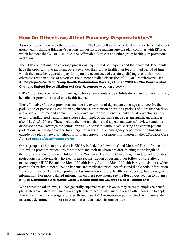# How Do Other Laws Affect Fiduciary Responsibilities?

As noted above, there are other provisions in ERISA, as well as other Federal and state laws that affect group health plans. A fiduciary's responsibilities include making sure the plan complies with ERISA, which includes the COBRA, HIPAA, the Affordable Care Act and other group health plan provisions in the law.

The COBRA continuation coverage provisions require that participants and their covered dependents have the opportunity to maintain coverage under their group health plan for a limited period of time, which they may be required to pay for, upon the occurrence of certain qualifying events that would otherwise result in a loss of coverage. For a more detailed discussion of COBRA requirements, see [An Employer's Guide to Group Health Continuation Coverage Under COBRA – The Consolidated](http://www.dol.gov/ebsa/publications/cobraemployer.html)  **[Omnibus Budget Reconciliation Act](http://www.dol.gov/ebsa/publications/cobraemployer.html) (See Resources to obtain a copy).** 

HIPAA provides special enrollment rights for certain events and prohibits discrimination in eligibility, benefits, or premiums based on a health factor.

The Affordable Care Act provisions include the extension of dependent coverage until age 26, the prohibition of preexisting condition exclusions, a prohibition on waiting periods of more than 90 days and a ban on lifetime and annual limits on coverage for most benefits. Additional protections apply to non-grandfathered health plans (those established, or that have made certain significant changes, after March 23, 2010). These include the internal claims and appeal and external review standards discussed above, coverage for certain preventive services without cost sharing and certain patient protections, including coverage for emergency services in an emergency department of a hospital outside of a plan's network without prior plan approval. For more information on the Affordable Care Act, see [dol.gov/ebsa/healthreform](http://dol.gov/ebsa/healthreform).

Other group health plan provisions in ERISA include the Newborns' and Mothers' Health Protection Act, which provides protections for mothers and their newborn children relating to the length of their hospital stays following childbirth; the Women's Health and Cancer Rights Act, which provides protections for individuals who elect breast reconstruction or certain other follow-up care after a mastectomy; MHPAEA and the Mental Health Parity Act (the Mental Health Parity provisions), which provide for parity in mental health benefits and medical/surgical benefits; and the Genetic Information Nondiscrimination Act, which prohibits discrimination in group health plan coverage based on genetic information. For more detailed information on these provisions, see the **Resources** section to obtain a copy of [Compliance Assistance Guide... Health Benefits Coverage Under Federal Law](http://www.dol.gov/ebsa/publications/CAG.html).

With respect to other laws, ERISA generally supersedes state laws as they relate to employee benefit plans. However, state insurance laws applicable to health insurance coverage often continue to apply. Therefore, if health coverage is offered through an HMO or insurance policy, check with your state insurance department for more information on that state's insurance laws.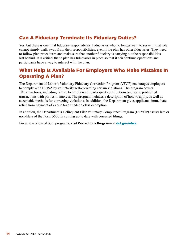# Can A Fiduciary Terminate Its Fiduciary Duties?

Yes, but there is one final fiduciary responsibility. Fiduciaries who no longer want to serve in that role cannot simply walk away from their responsibilities, even if the plan has other fiduciaries. They need to follow plan procedures and make sure that another fiduciary is carrying out the responsibilities left behind. It is critical that a plan has fiduciaries in place so that it can continue operations and participants have a way to interact with the plan.

# What Help Is Available For Employers Who Make Mistakes In Operating A Plan?

The Department of Labor's Voluntary Fiduciary Correction Program (VFCP) encourages employers to comply with ERISA by voluntarily self-correcting certain violations. The program covers 19 transactions, including failure to timely remit participant contributions and some prohibited transactions with parties in interest. The program includes a description of how to apply, as well as acceptable methods for correcting violations. In addition, the Department gives applicants immediate relief from payment of excise taxes under a class exemption.

In addition, the Department's Delinquent Filer Voluntary Compliance Program (DFVCP) assists late or non-filers of the Form 5500 in coming up to date with corrected filings.

For an overview of both programs, visit **[Corrections Programs](http://www.dol.gov/ebsa/compliance_assistance.html#section8)** at **[dol.gov/ebsa](http://dol.gov/ebsa).**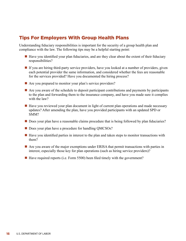# Tips For Employers With Group Health Plans

Understanding fiduciary responsibilities is important for the security of a group health plan and compliance with the law. The following tips may be a helpful starting point:

- $\blacksquare$  Have you identified your plan fiduciaries, and are they clear about the extent of their fiduciary responsibilities?
- $\blacksquare$  If you are hiring third-party service providers, have you looked at a number of providers, given each potential provider the same information, and considered whether the fees are reasonable for the services provided? Have you documented the hiring process?
- $\blacksquare$  Are you prepared to monitor your plan's service providers?
- $\blacksquare$  Are you aware of the schedule to deposit participant contributions and payments by participants to the plan and forwarding them to the insurance company, and have you made sure it complies with the law?
- $\blacksquare$  Have you reviewed your plan document in light of current plan operations and made necessary updates? After amending the plan, have you provided participants with an updated SPD or SMM?
- **n** Does your plan have a reasonable claims procedure that is being followed by plan fiduciaries?
- Does your plan have a procedure for handling QMCSOs?
- $\blacksquare$  Have you identified parties in interest to the plan and taken steps to monitor transactions with them?
- $\blacksquare$  Are you aware of the major exemptions under ERISA that permit transactions with parties in interest, especially those key for plan operations (such as hiring service providers)?
- $\blacksquare$  Have required reports (i.e. Form 5500) been filed timely with the government?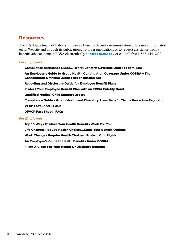#### Resources

The U.S. Department of Labor's Employee Benefits Security Administration offers more information on its Website and through its publications. To order publications or to request assistance from a benefits advisor, contact EBSA electronically at **[askebsa.dol.gov](http://askebsa.dol.gov)** or call toll free 1-866-444-3272.

#### *For Employers*

Compliance Assistance Guide... Health Benefits Coverage Under Federal Law An Employer's Guide to Group Health Continuation Coverage Under COBRA – The Consolidated Omnibus Budget Reconciliation Act Reporting and Disclosure Guide for Employee Benefit Plans Protect Your Employee Benefit Plan with an ERISA Fidelity Bond Qualified Medical Child Support Orders Compliance Guide – Group Health and Disability Plans Benefit Claims Procedure Regulation VFCP Fact Sheet | FAQs DFVCP Fact Sheet | FAQs

#### *For Employees*

Top 10 Ways To Make Your Health Benefits Work For You Life Changes Require Health Choices…Know Your Benefit Options Work Changes Require Health Choices…Protect Your Rights An Employee's Guide to Health Benefits Under COBRA Filing A Claim For Your Health Or Disability Benefits